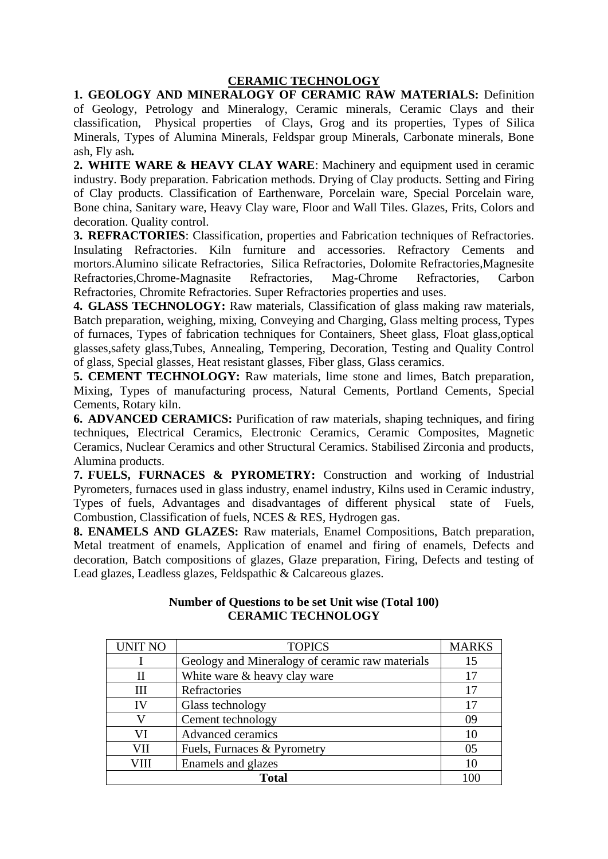## **CERAMIC TECHNOLOGY**

## **1. GEOLOGY AND MINERALOGY OF CERAMIC RAW MATERIALS:** Definition of Geology, Petrology and Mineralogy, Ceramic minerals, Ceramic Clays and their classification, Physical properties of Clays, Grog and its properties, Types of Silica Minerals, Types of Alumina Minerals, Feldspar group Minerals, Carbonate minerals, Bone ash, Fly ash*.*

**2. WHITE WARE & HEAVY CLAY WARE**: Machinery and equipment used in ceramic industry. Body preparation. Fabrication methods. Drying of Clay products. Setting and Firing of Clay products. Classification of Earthenware, Porcelain ware, Special Porcelain ware, Bone china, Sanitary ware, Heavy Clay ware, Floor and Wall Tiles. Glazes, Frits, Colors and decoration. Quality control.

**3. REFRACTORIES**: Classification, properties and Fabrication techniques of Refractories. Insulating Refractories. Kiln furniture and accessories. Refractory Cements and mortors.Alumino silicate Refractories, Silica Refractories, Dolomite Refractories,Magnesite Refractories,Chrome-Magnasite Refractories, Mag-Chrome Refractories, Carbon Refractories, Chromite Refractories. Super Refractories properties and uses.

**4. GLASS TECHNOLOGY:** Raw materials, Classification of glass making raw materials, Batch preparation, weighing, mixing, Conveying and Charging, Glass melting process, Types of furnaces, Types of fabrication techniques for Containers, Sheet glass, Float glass,optical glasses,safety glass,Tubes, Annealing, Tempering, Decoration, Testing and Quality Control of glass, Special glasses, Heat resistant glasses, Fiber glass, Glass ceramics.

**5. CEMENT TECHNOLOGY:** Raw materials, lime stone and limes, Batch preparation, Mixing, Types of manufacturing process, Natural Cements, Portland Cements, Special Cements, Rotary kiln.

**6. ADVANCED CERAMICS:** Purification of raw materials, shaping techniques, and firing techniques, Electrical Ceramics, Electronic Ceramics, Ceramic Composites, Magnetic Ceramics, Nuclear Ceramics and other Structural Ceramics. Stabilised Zirconia and products, Alumina products.

**7. FUELS, FURNACES & PYROMETRY:** Construction and working of Industrial Pyrometers, furnaces used in glass industry, enamel industry, Kilns used in Ceramic industry, Types of fuels, Advantages and disadvantages of different physical state of Fuels, Combustion, Classification of fuels, NCES & RES, Hydrogen gas.

**8. ENAMELS AND GLAZES:** Raw materials, Enamel Compositions, Batch preparation, Metal treatment of enamels, Application of enamel and firing of enamels, Defects and decoration, Batch compositions of glazes, Glaze preparation, Firing, Defects and testing of Lead glazes, Leadless glazes, Feldspathic & Calcareous glazes.

| <b>UNIT NO</b> | <b>TOPICS</b>                                   | <b>MARKS</b> |
|----------------|-------------------------------------------------|--------------|
|                |                                                 |              |
|                | Geology and Mineralogy of ceramic raw materials | 15           |
| Н              | White ware & heavy clay ware                    | 17           |
| Ш              | Refractories                                    | 17           |
| IV             | Glass technology                                | 17           |
|                | Cement technology                               | 09           |
| VI             | Advanced ceramics                               | 10           |
| VII            | Fuels, Furnaces & Pyrometry                     | 05           |
| VIII           | Enamels and glazes                              | 10           |
| <b>Total</b>   |                                                 |              |

## **Number of Questions to be set Unit wise (Total 100) CERAMIC TECHNOLOGY**